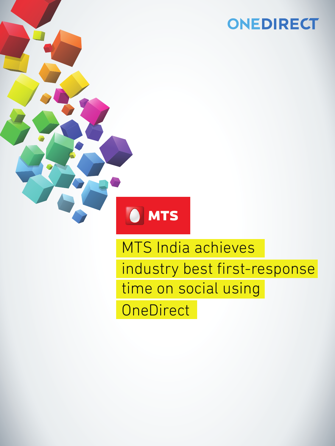## ONEDIRECT



# MTS India achieves industry best first-response time on social using **OneDirect**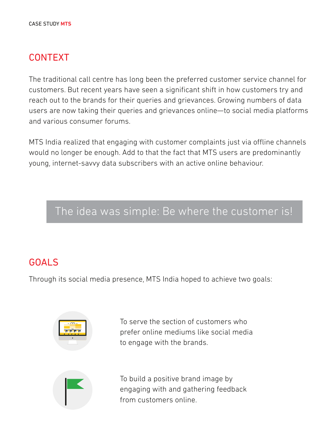#### CONTEXT

The traditional call centre has long been the preferred customer service channel for customers. But recent years have seen a significant shift in how customers try and reach out to the brands for their queries and grievances. Growing numbers of data users are now taking their queries and grievances online—to social media platforms and various consumer forums.

MTS India realized that engaging with customer complaints just via offline channels would no longer be enough. Add to that the fact that MTS users are predominantly young, internet-savvy data subscribers with an active online behaviour.

### The idea was simple: Be where the customer is!

#### GOALS

Through its social media presence, MTS India hoped to achieve two goals:



To serve the section of customers who prefer online mediums like social media to engage with the brands.



To build a positive brand image by engaging with and gathering feedback from customers online.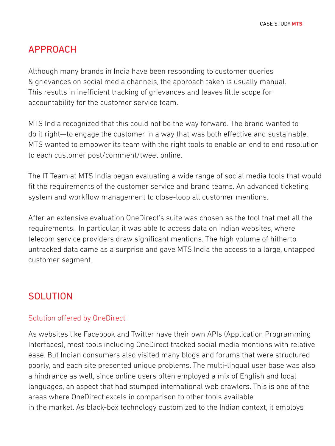#### APPROACH

Although many brands in India have been responding to customer queries & grievances on social media channels, the approach taken is usually manual. This results in inefficient tracking of grievances and leaves little scope for accountability for the customer service team.

MTS India recognized that this could not be the way forward. The brand wanted to do it right—to engage the customer in a way that was both effective and sustainable. MTS wanted to empower its team with the right tools to enable an end to end resolution to each customer post/comment/tweet online.

The IT Team at MTS India began evaluating a wide range of social media tools that would fit the requirements of the customer service and brand teams. An advanced ticketing system and workflow management to close-loop all customer mentions.

After an extensive evaluation OneDirect's suite was chosen as the tool that met all the requirements. In particular, it was able to access data on Indian websites, where telecom service providers draw significant mentions. The high volume of hitherto untracked data came as a surprise and gave MTS India the access to a large, untapped customer segment.

#### **SOLUTION**

#### Solution offered by OneDirect

As websites like Facebook and Twitter have their own APIs (Application Programming Interfaces), most tools including OneDirect tracked social media mentions with relative ease. But Indian consumers also visited many blogs and forums that were structured poorly, and each site presented unique problems. The multi-lingual user base was also a hindrance as well, since online users often employed a mix of English and local languages, an aspect that had stumped international web crawlers. This is one of the areas where OneDirect excels in comparison to other tools available in the market. As black-box technology customized to the Indian context, it employs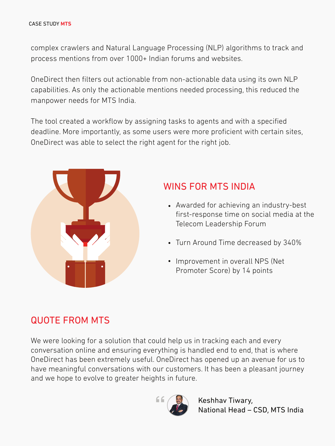complex crawlers and Natural Language Processing (NLP) algorithms to track and process mentions from over 1000+ Indian forums and websites.

OneDirect then filters out actionable from non-actionable data using its own NLP capabilities. As only the actionable mentions needed processing, this reduced the manpower needs for MTS India.

The tool created a workflow by assigning tasks to agents and with a specified deadline. More importantly, as some users were more proficient with certain sites, OneDirect was able to select the right agent for the right job.



#### WINS FOR MTS INDIA

- Awarded for achieving an industry-best first-response time on social media at the Telecom Leadership Forum
- Turn Around Time decreased by 340%
- Improvement in overall NPS (Net Promoter Score) by 14 points

#### QUOTE FROM MTS

We were looking for a solution that could help us in tracking each and every conversation online and ensuring everything is handled end to end, that is where OneDirect has been extremely useful. OneDirect has opened up an avenue for us to have meaningful conversations with our customers. It has been a pleasant journey and we hope to evolve to greater heights in future.



Keshhav Tiwary, National Head – CSD, MTS India